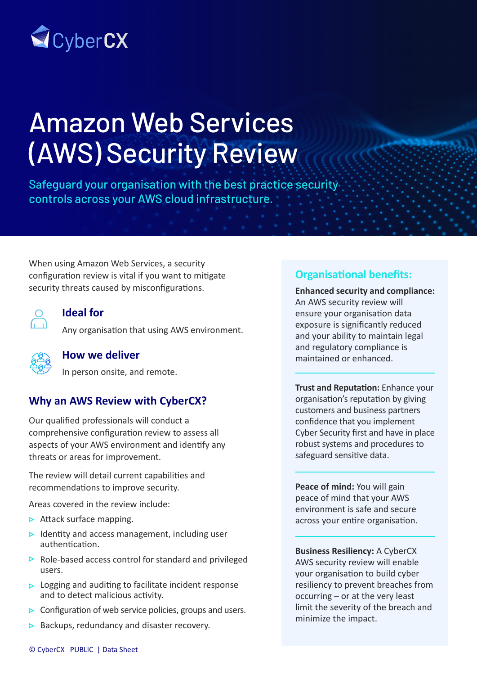

# Amazon Web Services (AWS) Security Review

Safeguard your organisation with the best practice security controls across your AWS cloud infrastructure.

When using Amazon Web Services, a security configuration review is vital if you want to mitigate security threats caused by misconfigurations.



#### **Ideal for**

Any organisation that using AWS environment.



#### **How we deliver**

In person onsite, and remote.

### **Why an AWS Review with CyberCX?**

Our qualified professionals will conduct a comprehensive configuration review to assess all aspects of your AWS environment and identify any threats or areas for improvement.

The review will detail current capabilities and recommendations to improve security.

Areas covered in the review include:

- $\triangleright$  Attack surface mapping.
- $\triangleright$  Identity and access management, including user authentication.
- $\triangleright$  Role-based access control for standard and privileged users.
- $\triangleright$  Logging and auditing to facilitate incident response and to detect malicious activity.
- $\triangleright$  Configuration of web service policies, groups and users.
- $\triangleright$  Backups, redundancy and disaster recovery.

## **Organisational benefits:**

**Enhanced security and compliance:**  An AWS security review will ensure your organisation data exposure is significantly reduced and your ability to maintain legal and regulatory compliance is maintained or enhanced.

**Trust and Reputation:** Enhance your organisation's reputation by giving customers and business partners confidence that you implement Cyber Security first and have in place robust systems and procedures to safeguard sensitive data.

**Peace of mind:** You will gain peace of mind that your AWS environment is safe and secure across your entire organisation.

**Business Resiliency:** A CyberCX AWS security review will enable your organisation to build cyber resiliency to prevent breaches from occurring – or at the very least limit the severity of the breach and minimize the impact.